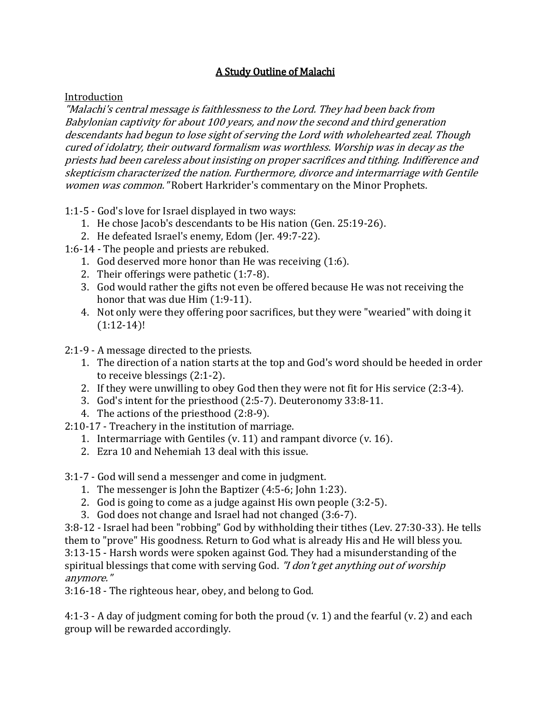## A Study Outline of Malachi

## Introduction

"Malachi's central message is faithlessness to the Lord. They had been back from Babylonian captivity for about 100 years, and now the second and third generation descendants had begun to lose sight of serving the Lord with wholehearted zeal. Though cured of idolatry, their outward formalism was worthless. Worship was in decay as the priests had been careless about insisting on proper sacrifices and tithing. Indifference and skepticism characterized the nation. Furthermore, divorce and intermarriage with Gentile women was common. "Robert Harkrider's commentary on the Minor Prophets.

1:1-5 - God's love for Israel displayed in two ways:

- 1. He chose Jacob's descendants to be His nation (Gen. 25:19-26).
- 2. He defeated Israel's enemy, Edom (Jer. 49:7-22).
- 1:6-14 The people and priests are rebuked.
	- 1. God deserved more honor than He was receiving (1:6).
	- 2. Their offerings were pathetic (1:7-8).
	- 3. God would rather the gifts not even be offered because He was not receiving the honor that was due Him (1:9-11).
	- 4. Not only were they offering poor sacrifices, but they were "wearied" with doing it  $(1:12-14)!$
- 2:1-9 A message directed to the priests.
	- 1. The direction of a nation starts at the top and God's word should be heeded in order to receive blessings (2:1-2).
	- 2. If they were unwilling to obey God then they were not fit for His service (2:3-4).
	- 3. God's intent for the priesthood (2:5-7). Deuteronomy 33:8-11.
	- 4. The actions of the priesthood (2:8-9).
- 2:10-17 Treachery in the institution of marriage.
	- 1. Intermarriage with Gentiles (v. 11) and rampant divorce (v. 16).
	- 2. Ezra 10 and Nehemiah 13 deal with this issue.
- 3:1-7 God will send a messenger and come in judgment.
	- 1. The messenger is John the Baptizer (4:5-6; John 1:23).
	- 2. God is going to come as a judge against His own people (3:2-5).
	- 3. God does not change and Israel had not changed (3:6-7).

3:8-12 - Israel had been "robbing" God by withholding their tithes (Lev. 27:30-33). He tells them to "prove" His goodness. Return to God what is already His and He will bless you. 3:13-15 - Harsh words were spoken against God. They had a misunderstanding of the spiritual blessings that come with serving God. "I don't get anything out of worship anymore."

3:16-18 - The righteous hear, obey, and belong to God.

4:1-3 - A day of judgment coming for both the proud (v. 1) and the fearful (v. 2) and each group will be rewarded accordingly.